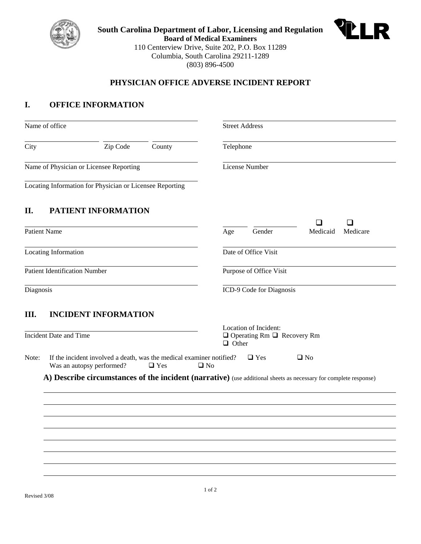

**South Carolina Department of Labor, Licensing and Regulation Board of Medical Examiners**  110 Centerview Drive, Suite 202, P.O. Box 11289 Columbia, South Carolina 29211-1289 (803) 896-4500



### **PHYSICIAN OFFICE ADVERSE INCIDENT REPORT**

### **I. OFFICE INFORMATION**

|                                         | Name of office                                                                                                                                                |                    |  |           | <b>Street Address</b>                                                           |                      |  |  |  |
|-----------------------------------------|---------------------------------------------------------------------------------------------------------------------------------------------------------------|--------------------|--|-----------|---------------------------------------------------------------------------------|----------------------|--|--|--|
| City                                    |                                                                                                                                                               | Zip Code<br>County |  | Telephone |                                                                                 |                      |  |  |  |
| Name of Physician or Licensee Reporting |                                                                                                                                                               |                    |  |           | License Number                                                                  |                      |  |  |  |
|                                         | Locating Information for Physician or Licensee Reporting                                                                                                      |                    |  |           |                                                                                 |                      |  |  |  |
| П.                                      | PATIENT INFORMATION                                                                                                                                           |                    |  |           |                                                                                 |                      |  |  |  |
|                                         | <b>Patient Name</b>                                                                                                                                           |                    |  | Age       | Gender                                                                          | Medicaid<br>Medicare |  |  |  |
| <b>Locating Information</b>             |                                                                                                                                                               |                    |  |           | Date of Office Visit                                                            |                      |  |  |  |
| <b>Patient Identification Number</b>    |                                                                                                                                                               |                    |  |           | Purpose of Office Visit                                                         |                      |  |  |  |
| Diagnosis                               |                                                                                                                                                               |                    |  |           | ICD-9 Code for Diagnosis                                                        |                      |  |  |  |
| III.                                    | <b>INCIDENT INFORMATION</b><br><b>Incident Date and Time</b>                                                                                                  |                    |  |           | Location of Incident:<br>$\Box$ Operating Rm $\Box$ Recovery Rm<br>$\Box$ Other |                      |  |  |  |
| Note:                                   | If the incident involved a death, was the medical examiner notified?<br>$\Box$ Yes<br>$\square$ No<br>Was an autopsy performed?<br>$\Box$ Yes<br>$\square$ No |                    |  |           |                                                                                 |                      |  |  |  |
|                                         | A) Describe circumstances of the incident (narrative) (use additional sheets as necessary for complete response)                                              |                    |  |           |                                                                                 |                      |  |  |  |
|                                         |                                                                                                                                                               |                    |  |           |                                                                                 |                      |  |  |  |
|                                         |                                                                                                                                                               |                    |  |           |                                                                                 |                      |  |  |  |
|                                         |                                                                                                                                                               |                    |  |           |                                                                                 |                      |  |  |  |
|                                         |                                                                                                                                                               |                    |  |           |                                                                                 |                      |  |  |  |
|                                         |                                                                                                                                                               |                    |  |           |                                                                                 |                      |  |  |  |
|                                         |                                                                                                                                                               |                    |  |           |                                                                                 |                      |  |  |  |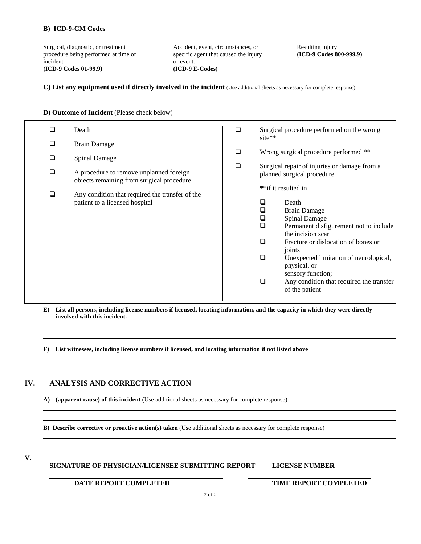#### **B) ICD-9-CM Codes**

l

Surgical, diagnostic, or treatment Accident, event, circumstances, or Resulting injury<br>procedure being performed at time of specific agent that caused the injury (ICD-9 Codes 800-999.9) procedure being performed at time of specific agent that caused the injury incident.  $\qquad \qquad \text{or event.}$ **(ICD-9 Codes 01-99.9) (ICD-9 E-Codes)** 

**C) List any equipment used if directly involved in the incident** (Use additional sheets as necessary for complete response)

**D) Outcome of Incident** (Please check below)

| □ | Death                                                                                | □      | site**                                                                                            | Surgical procedure performed on the wrong                                                                                                                                                                                                                                                                         |
|---|--------------------------------------------------------------------------------------|--------|---------------------------------------------------------------------------------------------------|-------------------------------------------------------------------------------------------------------------------------------------------------------------------------------------------------------------------------------------------------------------------------------------------------------------------|
| □ | <b>Brain Damage</b>                                                                  |        |                                                                                                   |                                                                                                                                                                                                                                                                                                                   |
| ❏ | <b>Spinal Damage</b>                                                                 | ❏      |                                                                                                   | Wrong surgical procedure performed **                                                                                                                                                                                                                                                                             |
| ❏ | A procedure to remove unplanned foreign<br>objects remaining from surgical procedure | $\Box$ | Surgical repair of injuries or damage from a<br>planned surgical procedure<br>**if it resulted in |                                                                                                                                                                                                                                                                                                                   |
| □ | Any condition that required the transfer of the<br>patient to a licensed hospital    |        | ப<br>◻<br>❏<br>□<br>$\Box$<br>$\Box$<br>□                                                         | Death<br><b>Brain Damage</b><br><b>Spinal Damage</b><br>Permanent disfigurement not to include<br>the incision scar<br>Fracture or dislocation of bones or<br>joints<br>Unexpected limitation of neurological,<br>physical, or<br>sensory function;<br>Any condition that required the transfer<br>of the patient |

**E) List all persons, including license numbers if licensed, locating information, and the capacity in which they were directly involved with this incident.**

**F) List witnesses, including license numbers if licensed, and locating information if not listed above** 

#### **IV. ANALYSIS AND CORRECTIVE ACTION**

**A) (apparent cause) of this incident** (Use additional sheets as necessary for complete response)

**B) Describe corrective or proactive action(s) taken** (Use additional sheets as necessary for complete response)

**V.** 

l

l

l

l

**SIGNATURE OF PHYSICIAN/LICENSEE SUBMITTING REPORT LICENSE NUMBER** 

**DATE REPORT COMPLETED TIME REPORT COMPLETED**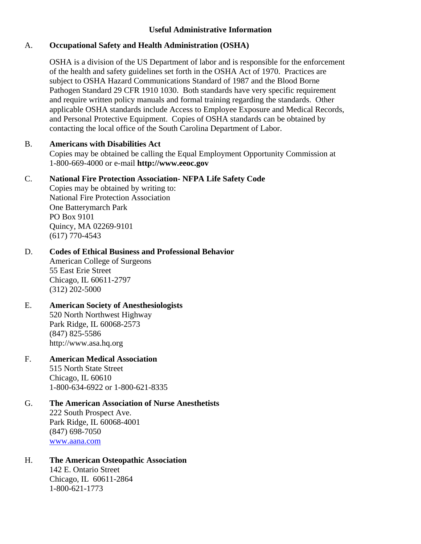# **Useful Administrative Information**

### A. **Occupational Safety and Health Administration (OSHA)**

OSHA is a division of the US Department of labor and is responsible for the enforcement of the health and safety guidelines set forth in the OSHA Act of 1970. Practices are subject to OSHA Hazard Communications Standard of 1987 and the Blood Borne Pathogen Standard 29 CFR 1910 1030. Both standards have very specific requirement and require written policy manuals and formal training regarding the standards. Other applicable OSHA standards include Access to Employee Exposure and Medical Records, and Personal Protective Equipment. Copies of OSHA standards can be obtained by contacting the local office of the South Carolina Department of Labor.

### B. **Americans with Disabilities Act**

Copies may be obtained be calling the Equal Employment Opportunity Commission at 1-800-669-4000 or e-mail **http://www.eeoc.gov**

# C. **National Fire Protection Association- NFPA Life Safety Code**

Copies may be obtained by writing to: National Fire Protection Association One Batterymarch Park PO Box 9101 Quincy, MA 02269-9101 (617) 770-4543

# D. **Codes of Ethical Business and Professional Behavior**

American College of Surgeons 55 East Erie Street Chicago, IL 60611-2797 (312) 202-5000

# E. **American Society of Anesthesiologists**

520 North Northwest Highway Park Ridge, IL 60068-2573 (847) 825-5586 http://www.asa.hq.org

# F. **American Medical Association** 515 North State Street

Chicago, IL 60610 1-800-634-6922 or 1-800-621-8335

#### G. **The American Association of Nurse Anesthetists** 222 South Prospect Ave. Park Ridge, IL 60068-4001 (847) 698-7050 www.aana.com

# H. **The American Osteopathic Association**

142 E. Ontario Street Chicago, IL 60611-2864 1-800-621-1773